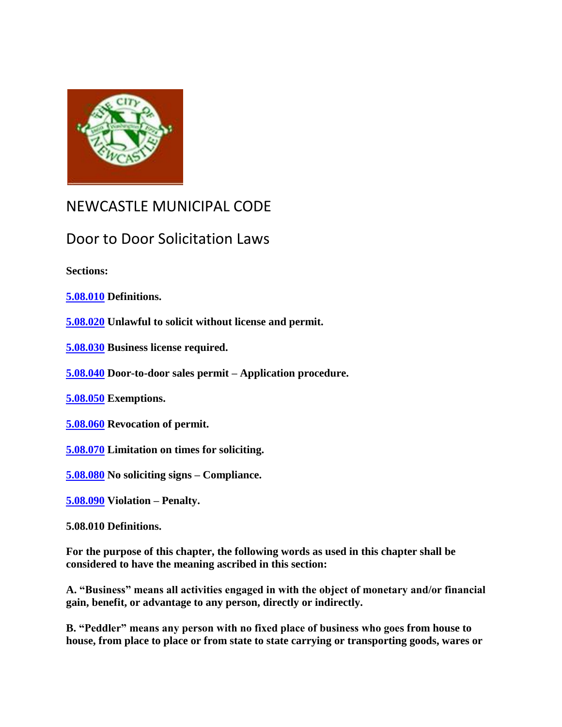

## NEWCASTLE MUNICIPAL CODE

## Door to Door Solicitation Laws

**Sections:**

**[5.08.010](http://srch.mrsc.org:8080/code/DocView/newcastlemc/newca05.html#5.08.010) Definitions.**

**[5.08.020](http://srch.mrsc.org:8080/code/DocView/newcastlemc/newca05.html#5.08.020) Unlawful to solicit without license and permit.**

**[5.08.030](http://srch.mrsc.org:8080/code/DocView/newcastlemc/newca05.html#5.08.030) Business license required.**

**[5.08.040](http://srch.mrsc.org:8080/code/DocView/newcastlemc/newca05.html#5.08.040) Door-to-door sales permit – Application procedure.**

**[5.08.050](http://srch.mrsc.org:8080/code/DocView/newcastlemc/newca05.html#5.08.050) Exemptions.**

**[5.08.060](http://srch.mrsc.org:8080/code/DocView/newcastlemc/newca05.html#5.08.060) Revocation of permit.**

**[5.08.070](http://srch.mrsc.org:8080/code/DocView/newcastlemc/newca05.html#5.08.070) Limitation on times for soliciting.**

**[5.08.080](http://srch.mrsc.org:8080/code/DocView/newcastlemc/newca05.html#5.08.080) No soliciting signs – Compliance.**

**[5.08.090](http://srch.mrsc.org:8080/code/DocView/newcastlemc/newca05.html#5.08.090) Violation – Penalty.**

**5.08.010 Definitions.**

**For the purpose of this chapter, the following words as used in this chapter shall be considered to have the meaning ascribed in this section:**

**A. "Business" means all activities engaged in with the object of monetary and/or financial gain, benefit, or advantage to any person, directly or indirectly.**

**B. "Peddler" means any person with no fixed place of business who goes from house to house, from place to place or from state to state carrying or transporting goods, wares or**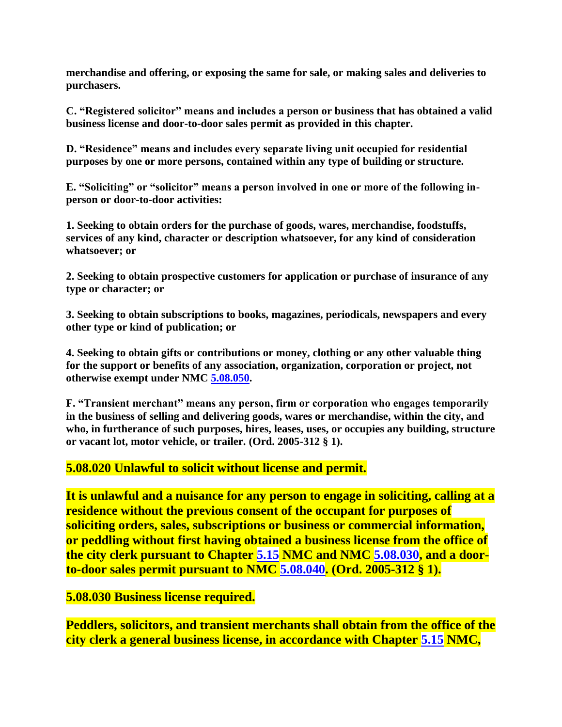**merchandise and offering, or exposing the same for sale, or making sales and deliveries to purchasers.**

**C. "Registered solicitor" means and includes a person or business that has obtained a valid business license and door-to-door sales permit as provided in this chapter.** 

**D. "Residence" means and includes every separate living unit occupied for residential purposes by one or more persons, contained within any type of building or structure.**

**E. "Soliciting" or "solicitor" means a person involved in one or more of the following inperson or door-to-door activities:**

**1. Seeking to obtain orders for the purchase of goods, wares, merchandise, foodstuffs, services of any kind, character or description whatsoever, for any kind of consideration whatsoever; or**

**2. Seeking to obtain prospective customers for application or purchase of insurance of any type or character; or**

**3. Seeking to obtain subscriptions to books, magazines, periodicals, newspapers and every other type or kind of publication; or**

**4. Seeking to obtain gifts or contributions or money, clothing or any other valuable thing for the support or benefits of any association, organization, corporation or project, not otherwise exempt under NMC [5.08.050.](http://srch.mrsc.org:8080/code/DocView/newcastlemc/newca05.html#5.08.050)**

**F. "Transient merchant" means any person, firm or corporation who engages temporarily in the business of selling and delivering goods, wares or merchandise, within the city, and who, in furtherance of such purposes, hires, leases, uses, or occupies any building, structure or vacant lot, motor vehicle, or trailer. (Ord. 2005-312 § 1).**

## **5.08.020 Unlawful to solicit without license and permit.**

**It is unlawful and a nuisance for any person to engage in soliciting, calling at a residence without the previous consent of the occupant for purposes of soliciting orders, sales, subscriptions or business or commercial information, or peddling without first having obtained a business license from the office of the city clerk pursuant to Chapter [5.15](http://srch.mrsc.org:8080/code/DocView/newcastlemc/newca05.html#5.15) NMC and NMC [5.08.030,](http://srch.mrsc.org:8080/code/DocView/newcastlemc/newca05.html#5.08.030) and a doorto-door sales permit pursuant to NMC [5.08.040.](http://srch.mrsc.org:8080/code/DocView/newcastlemc/newca05.html#5.08.040) (Ord. 2005-312 § 1).**

**5.08.030 Business license required.**

**Peddlers, solicitors, and transient merchants shall obtain from the office of the city clerk a general business license, in accordance with Chapter [5.15](http://srch.mrsc.org:8080/code/DocView/newcastlemc/newca05.html#5.15) NMC,**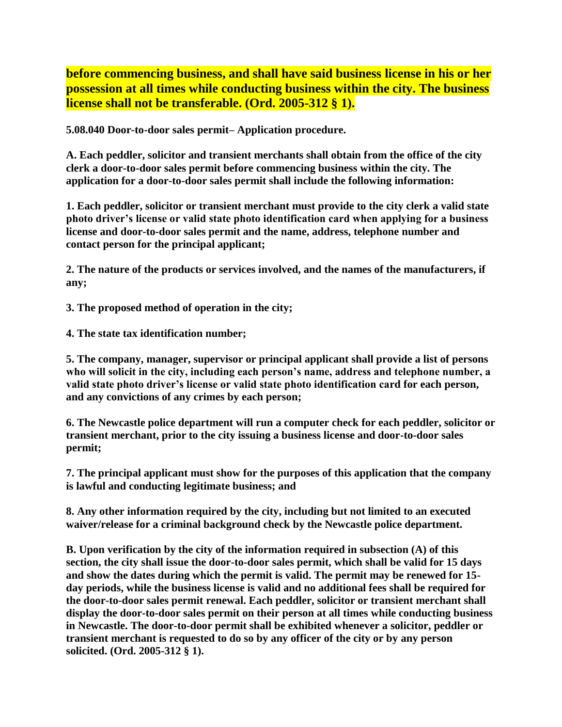**before commencing business, and shall have said business license in his or her possession at all times while conducting business within the city. The business license shall not be transferable. (Ord. 2005-312 § 1).**

**5.08.040 Door-to-door sales permit– Application procedure.**

**A. Each peddler, solicitor and transient merchants shall obtain from the office of the city clerk a door-to-door sales permit before commencing business within the city. The application for a door-to-door sales permit shall include the following information:**

**1. Each peddler, solicitor or transient merchant must provide to the city clerk a valid state photo driver's license or valid state photo identification card when applying for a business license and door-to-door sales permit and the name, address, telephone number and contact person for the principal applicant;**

**2. The nature of the products or services involved, and the names of the manufacturers, if any;**

**3. The proposed method of operation in the city;**

**4. The state tax identification number;**

**5. The company, manager, supervisor or principal applicant shall provide a list of persons who will solicit in the city, including each person's name, address and telephone number, a valid state photo driver's license or valid state photo identification card for each person, and any convictions of any crimes by each person;** 

**6. The Newcastle police department will run a computer check for each peddler, solicitor or transient merchant, prior to the city issuing a business license and door-to-door sales permit;**

**7. The principal applicant must show for the purposes of this application that the company is lawful and conducting legitimate business; and** 

**8. Any other information required by the city, including but not limited to an executed waiver/release for a criminal background check by the Newcastle police department.**

**B. Upon verification by the city of the information required in subsection (A) of this section, the city shall issue the door-to-door sales permit, which shall be valid for 15 days and show the dates during which the permit is valid. The permit may be renewed for 15 day periods, while the business license is valid and no additional fees shall be required for the door-to-door sales permit renewal. Each peddler, solicitor or transient merchant shall display the door-to-door sales permit on their person at all times while conducting business in Newcastle. The door-to-door permit shall be exhibited whenever a solicitor, peddler or transient merchant is requested to do so by any officer of the city or by any person solicited. (Ord. 2005-312 § 1).**